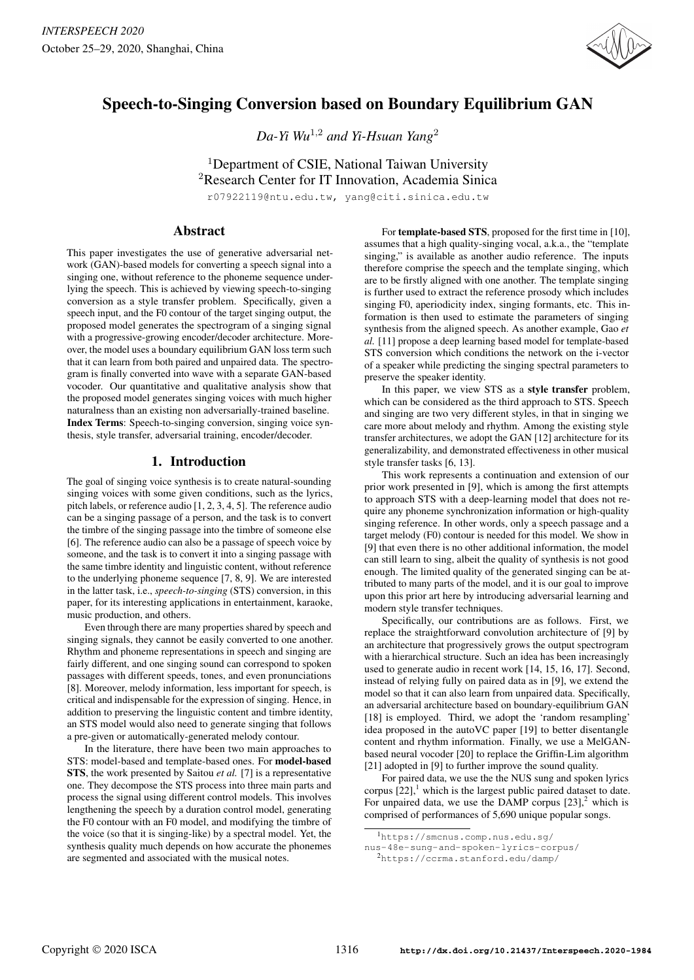

# Speech-to-Singing Conversion based on Boundary Equilibrium GAN

*Da-Yi Wu*<sup>1</sup>,<sup>2</sup> *and Yi-Hsuan Yang*<sup>2</sup>

<sup>1</sup>Department of CSIE, National Taiwan University <sup>2</sup>Research Center for IT Innovation, Academia Sinica

r07922119@ntu.edu.tw, yang@citi.sinica.edu.tw

# Abstract

This paper investigates the use of generative adversarial network (GAN)-based models for converting a speech signal into a singing one, without reference to the phoneme sequence underlying the speech. This is achieved by viewing speech-to-singing conversion as a style transfer problem. Specifically, given a speech input, and the F0 contour of the target singing output, the proposed model generates the spectrogram of a singing signal with a progressive-growing encoder/decoder architecture. Moreover, the model uses a boundary equilibrium GAN loss term such that it can learn from both paired and unpaired data. The spectrogram is finally converted into wave with a separate GAN-based vocoder. Our quantitative and qualitative analysis show that the proposed model generates singing voices with much higher naturalness than an existing non adversarially-trained baseline. Index Terms: Speech-to-singing conversion, singing voice synthesis, style transfer, adversarial training, encoder/decoder.

# 1. Introduction

The goal of singing voice synthesis is to create natural-sounding singing voices with some given conditions, such as the lyrics, pitch labels, or reference audio [1, 2, 3, 4, 5]. The reference audio can be a singing passage of a person, and the task is to convert the timbre of the singing passage into the timbre of someone else [6]. The reference audio can also be a passage of speech voice by someone, and the task is to convert it into a singing passage with the same timbre identity and linguistic content, without reference to the underlying phoneme sequence [7, 8, 9]. We are interested in the latter task, i.e., *speech-to-singing* (STS) conversion, in this paper, for its interesting applications in entertainment, karaoke, music production, and others.

Even through there are many properties shared by speech and singing signals, they cannot be easily converted to one another. Rhythm and phoneme representations in speech and singing are fairly different, and one singing sound can correspond to spoken passages with different speeds, tones, and even pronunciations [8]. Moreover, melody information, less important for speech, is critical and indispensable for the expression of singing. Hence, in addition to preserving the linguistic content and timbre identity, an STS model would also need to generate singing that follows a pre-given or automatically-generated melody contour.

In the literature, there have been two main approaches to STS: model-based and template-based ones. For model-based STS, the work presented by Saitou *et al.* [7] is a representative one. They decompose the STS process into three main parts and process the signal using different control models. This involves lengthening the speech by a duration control model, generating the F0 contour with an F0 model, and modifying the timbre of the voice (so that it is singing-like) by a spectral model. Yet, the synthesis quality much depends on how accurate the phonemes are segmented and associated with the musical notes.

For template-based STS, proposed for the first time in [10], assumes that a high quality-singing vocal, a.k.a., the "template singing," is available as another audio reference. The inputs therefore comprise the speech and the template singing, which are to be firstly aligned with one another. The template singing is further used to extract the reference prosody which includes singing F0, aperiodicity index, singing formants, etc. This information is then used to estimate the parameters of singing synthesis from the aligned speech. As another example, Gao *et al.* [11] propose a deep learning based model for template-based STS conversion which conditions the network on the i-vector of a speaker while predicting the singing spectral parameters to preserve the speaker identity.

In this paper, we view STS as a style transfer problem, which can be considered as the third approach to STS. Speech and singing are two very different styles, in that in singing we care more about melody and rhythm. Among the existing style transfer architectures, we adopt the GAN [12] architecture for its generalizability, and demonstrated effectiveness in other musical style transfer tasks [6, 13].

This work represents a continuation and extension of our prior work presented in [9], which is among the first attempts to approach STS with a deep-learning model that does not require any phoneme synchronization information or high-quality singing reference. In other words, only a speech passage and a target melody (F0) contour is needed for this model. We show in [9] that even there is no other additional information, the model can still learn to sing, albeit the quality of synthesis is not good enough. The limited quality of the generated singing can be attributed to many parts of the model, and it is our goal to improve upon this prior art here by introducing adversarial learning and modern style transfer techniques.

Specifically, our contributions are as follows. First, we replace the straightforward convolution architecture of [9] by an architecture that progressively grows the output spectrogram with a hierarchical structure. Such an idea has been increasingly used to generate audio in recent work [14, 15, 16, 17]. Second, instead of relying fully on paired data as in [9], we extend the model so that it can also learn from unpaired data. Specifically, an adversarial architecture based on boundary-equilibrium GAN [18] is employed. Third, we adopt the 'random resampling' idea proposed in the autoVC paper [19] to better disentangle content and rhythm information. Finally, we use a MelGANbased neural vocoder [20] to replace the Griffin-Lim algorithm [21] adopted in [9] to further improve the sound quality.

For paired data, we use the the NUS sung and spoken lyrics corpus  $[22]$ ,<sup>1</sup> which is the largest public paired dataset to date. For unpaired data, we use the DAMP corpus  $[23]$ ,<sup>2</sup> which is comprised of performances of 5,690 unique popular songs.

<sup>1</sup>https://smcnus.comp.nus.edu.sg/

nus-48e-sung-and-spoken-lyrics-corpus/

<sup>2</sup>https://ccrma.stanford.edu/damp/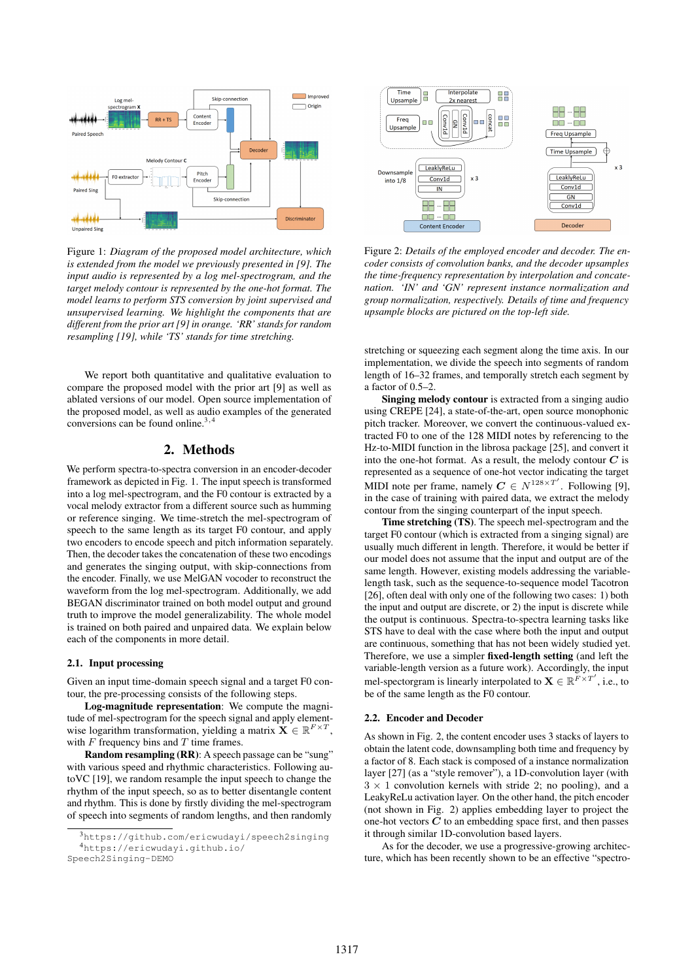

Figure 1: *Diagram of the proposed model architecture, which is extended from the model we previously presented in [9]. The input audio is represented by a log mel-spectrogram, and the target melody contour is represented by the one-hot format. The model learns to perform STS conversion by joint supervised and unsupervised learning. We highlight the components that are different from the prior art [9] in orange. 'RR' stands for random resampling [19], while 'TS' stands for time stretching.*

We report both quantitative and qualitative evaluation to compare the proposed model with the prior art [9] as well as ablated versions of our model. Open source implementation of the proposed model, as well as audio examples of the generated conversions can be found online.<sup>3,4</sup>

## 2. Methods

We perform spectra-to-spectra conversion in an encoder-decoder framework as depicted in Fig. 1. The input speech is transformed into a log mel-spectrogram, and the F0 contour is extracted by a vocal melody extractor from a different source such as humming or reference singing. We time-stretch the mel-spectrogram of speech to the same length as its target F0 contour, and apply two encoders to encode speech and pitch information separately. Then, the decoder takes the concatenation of these two encodings and generates the singing output, with skip-connections from the encoder. Finally, we use MelGAN vocoder to reconstruct the waveform from the log mel-spectrogram. Additionally, we add BEGAN discriminator trained on both model output and ground truth to improve the model generalizability. The whole model is trained on both paired and unpaired data. We explain below each of the components in more detail.

#### 2.1. Input processing

Given an input time-domain speech signal and a target F0 contour, the pre-processing consists of the following steps.

Log-magnitude representation: We compute the magnitude of mel-spectrogram for the speech signal and apply elementwise logarithm transformation, yielding a matrix  $\mathbf{X} \in \mathbb{R}^{F \times T}$ , with  $F$  frequency bins and  $T$  time frames.

Random resampling (RR): A speech passage can be "sung" with various speed and rhythmic characteristics. Following autoVC [19], we random resample the input speech to change the rhythm of the input speech, so as to better disentangle content and rhythm. This is done by firstly dividing the mel-spectrogram of speech into segments of random lengths, and then randomly



Figure 2: *Details of the employed encoder and decoder. The encoder consists of convolution banks, and the decoder upsamples the time-frequency representation by interpolation and concatenation. 'IN' and 'GN' represent instance normalization and group normalization, respectively. Details of time and frequency upsample blocks are pictured on the top-left side.*

stretching or squeezing each segment along the time axis. In our implementation, we divide the speech into segments of random length of 16–32 frames, and temporally stretch each segment by a factor of 0.5–2.

Singing melody contour is extracted from a singing audio using CREPE [24], a state-of-the-art, open source monophonic pitch tracker. Moreover, we convert the continuous-valued extracted F0 to one of the 128 MIDI notes by referencing to the Hz-to-MIDI function in the librosa package [25], and convert it into the one-hot format. As a result, the melody contour  $C$  is represented as a sequence of one-hot vector indicating the target MIDI note per frame, namely  $C \in N^{128 \times T'}$ . Following [9], in the case of training with paired data, we extract the melody contour from the singing counterpart of the input speech.

Time stretching (TS). The speech mel-spectrogram and the target F0 contour (which is extracted from a singing signal) are usually much different in length. Therefore, it would be better if our model does not assume that the input and output are of the same length. However, existing models addressing the variablelength task, such as the sequence-to-sequence model Tacotron [26], often deal with only one of the following two cases: 1) both the input and output are discrete, or 2) the input is discrete while the output is continuous. Spectra-to-spectra learning tasks like STS have to deal with the case where both the input and output are continuous, something that has not been widely studied yet. Therefore, we use a simpler fixed-length setting (and left the variable-length version as a future work). Accordingly, the input mel-spectorgram is linearly interpolated to  $\mathbf{X} \in \mathbb{R}^{F \times T'}$ , i.e., to be of the same length as the F0 contour.

## 2.2. Encoder and Decoder

As shown in Fig. 2, the content encoder uses 3 stacks of layers to obtain the latent code, downsampling both time and frequency by a factor of 8. Each stack is composed of a instance normalization layer [27] (as a "style remover"), a 1D-convolution layer (with  $3 \times 1$  convolution kernels with stride 2; no pooling), and a LeakyReLu activation layer. On the other hand, the pitch encoder (not shown in Fig. 2) applies embedding layer to project the one-hot vectors  $C$  to an embedding space first, and then passes it through similar 1D-convolution based layers.

As for the decoder, we use a progressive-growing architecture, which has been recently shown to be an effective "spectro-

<sup>3</sup>https://github.com/ericwudayi/speech2singing <sup>4</sup>https://ericwudayi.github.io/ Speech2Singing-DEMO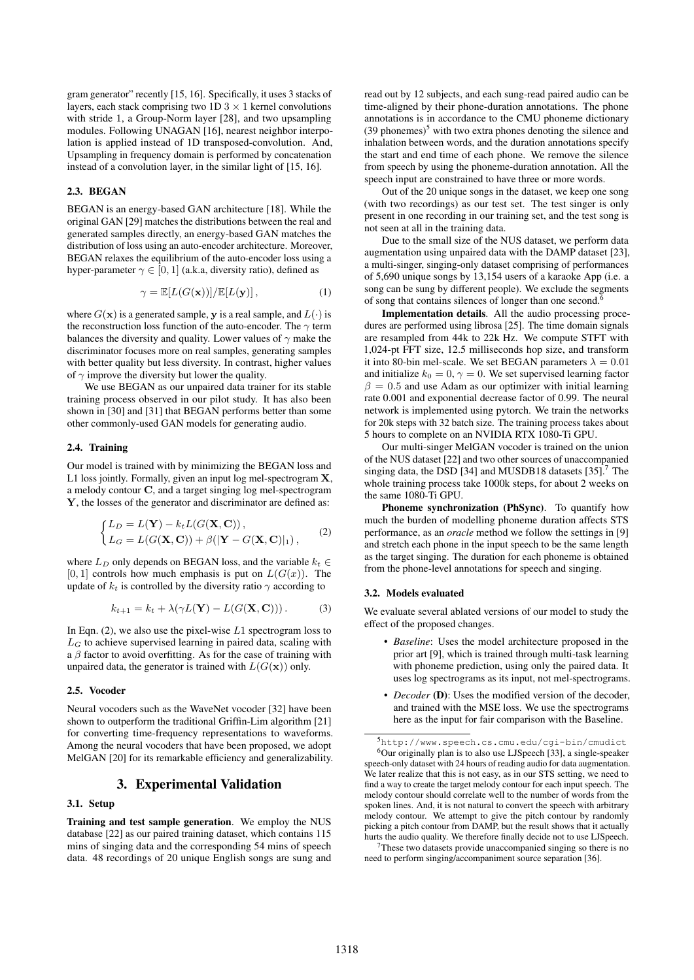gram generator" recently [15, 16]. Specifically, it uses 3 stacks of layers, each stack comprising two  $1D\ 3 \times 1$  kernel convolutions with stride 1, a Group-Norm layer [28], and two upsampling modules. Following UNAGAN [16], nearest neighbor interpolation is applied instead of 1D transposed-convolution. And, Upsampling in frequency domain is performed by concatenation instead of a convolution layer, in the similar light of [15, 16].

## 2.3. BEGAN

BEGAN is an energy-based GAN architecture [18]. While the original GAN [29] matches the distributions between the real and generated samples directly, an energy-based GAN matches the distribution of loss using an auto-encoder architecture. Moreover, BEGAN relaxes the equilibrium of the auto-encoder loss using a hyper-parameter  $\gamma \in [0, 1]$  (a.k.a, diversity ratio), defined as

$$
\gamma = \mathbb{E}[L(G(\mathbf{x}))]/\mathbb{E}[L(\mathbf{y})],\tag{1}
$$

where  $G(\mathbf{x})$  is a generated sample, y is a real sample, and  $L(\cdot)$  is the reconstruction loss function of the auto-encoder. The  $\gamma$  term balances the diversity and quality. Lower values of  $\gamma$  make the discriminator focuses more on real samples, generating samples with better quality but less diversity. In contrast, higher values of  $\gamma$  improve the diversity but lower the quality.

We use BEGAN as our unpaired data trainer for its stable training process observed in our pilot study. It has also been shown in [30] and [31] that BEGAN performs better than some other commonly-used GAN models for generating audio.

## 2.4. Training

Our model is trained with by minimizing the BEGAN loss and L1 loss jointly. Formally, given an input log mel-spectrogram **X**, a melody contour C, and a target singing log mel-spectrogram Y, the losses of the generator and discriminator are defined as:

$$
\begin{cases}\nL_D = L(\mathbf{Y}) - k_t L(G(\mathbf{X}, \mathbf{C})), \\
L_G = L(G(\mathbf{X}, \mathbf{C})) + \beta(|\mathbf{Y} - G(\mathbf{X}, \mathbf{C})|_1),\n\end{cases} (2)
$$

where  $L_D$  only depends on BEGAN loss, and the variable  $k_t \in$  $[0, 1]$  controls how much emphasis is put on  $L(G(x))$ . The update of  $k_t$  is controlled by the diversity ratio  $\gamma$  according to

$$
k_{t+1} = k_t + \lambda(\gamma L(\mathbf{Y}) - L(G(\mathbf{X}, \mathbf{C}))).
$$
 (3)

In Eqn. (2), we also use the pixel-wise  $L1$  spectrogram loss to  $L_G$  to achieve supervised learning in paired data, scaling with a  $\beta$  factor to avoid overfitting. As for the case of training with unpaired data, the generator is trained with  $L(G(\mathbf{x}))$  only.

## 2.5. Vocoder

Neural vocoders such as the WaveNet vocoder [32] have been shown to outperform the traditional Griffin-Lim algorithm [21] for converting time-frequency representations to waveforms. Among the neural vocoders that have been proposed, we adopt MelGAN [20] for its remarkable efficiency and generalizability.

## 3. Experimental Validation

## 3.1. Setup

Training and test sample generation. We employ the NUS database [22] as our paired training dataset, which contains 115 mins of singing data and the corresponding 54 mins of speech data. 48 recordings of 20 unique English songs are sung and read out by 12 subjects, and each sung-read paired audio can be time-aligned by their phone-duration annotations. The phone annotations is in accordance to the CMU phoneme dictionary  $(39$  phonemes)<sup>5</sup> with two extra phones denoting the silence and inhalation between words, and the duration annotations specify the start and end time of each phone. We remove the silence from speech by using the phoneme-duration annotation. All the speech input are constrained to have three or more words.

Out of the 20 unique songs in the dataset, we keep one song (with two recordings) as our test set. The test singer is only present in one recording in our training set, and the test song is not seen at all in the training data.

Due to the small size of the NUS dataset, we perform data augmentation using unpaired data with the DAMP dataset [23], a multi-singer, singing-only dataset comprising of performances of 5,690 unique songs by 13,154 users of a karaoke App (i.e. a song can be sung by different people). We exclude the segments of song that contains silences of longer than one second.<sup>6</sup>

Implementation details. All the audio processing procedures are performed using librosa [25]. The time domain signals are resampled from 44k to 22k Hz. We compute STFT with 1,024-pt FFT size, 12.5 milliseconds hop size, and transform it into 80-bin mel-scale. We set BEGAN parameters  $\lambda = 0.01$ and initialize  $k_0 = 0$ ,  $\gamma = 0$ . We set supervised learning factor  $\beta = 0.5$  and use Adam as our optimizer with initial learning rate 0.001 and exponential decrease factor of 0.99. The neural network is implemented using pytorch. We train the networks for 20k steps with 32 batch size. The training process takes about 5 hours to complete on an NVIDIA RTX 1080-Ti GPU.

Our multi-singer MelGAN vocoder is trained on the union of the NUS dataset [22] and two other sources of unaccompanied singing data, the DSD [34] and MUSDB18 datasets  $[35]$ .<sup>7</sup> The whole training process take 1000k steps, for about 2 weeks on the same 1080-Ti GPU.

Phoneme synchronization (PhSync). To quantify how much the burden of modelling phoneme duration affects STS performance, as an *oracle* method we follow the settings in [9] and stretch each phone in the input speech to be the same length as the target singing. The duration for each phoneme is obtained from the phone-level annotations for speech and singing.

#### 3.2. Models evaluated

We evaluate several ablated versions of our model to study the effect of the proposed changes.

- *Baseline*: Uses the model architecture proposed in the prior art [9], which is trained through multi-task learning with phoneme prediction, using only the paired data. It uses log spectrograms as its input, not mel-spectrograms.
- *Decoder* (D): Uses the modified version of the decoder, and trained with the MSE loss. We use the spectrograms here as the input for fair comparison with the Baseline.

<sup>7</sup>These two datasets provide unaccompanied singing so there is no need to perform singing/accompaniment source separation [36].

<sup>5</sup>http://www.speech.cs.cmu.edu/cgi-bin/cmudict <sup>6</sup>Our originally plan is to also use LJSpeech [33], a single-speaker speech-only dataset with 24 hours of reading audio for data augmentation. We later realize that this is not easy, as in our STS setting, we need to find a way to create the target melody contour for each input speech. The melody contour should correlate well to the number of words from the spoken lines. And, it is not natural to convert the speech with arbitrary melody contour. We attempt to give the pitch contour by randomly picking a pitch contour from DAMP, but the result shows that it actually hurts the audio quality. We therefore finally decide not to use LJSpeech.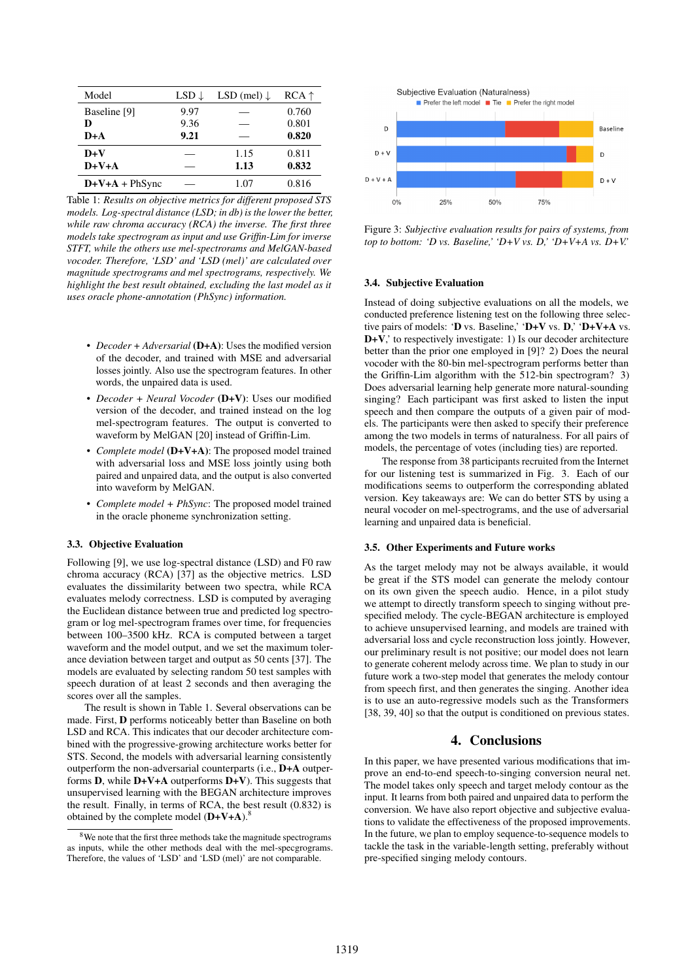| Model          | $LSD \downarrow$ | LSD (mel) $\downarrow$ | $RCA \uparrow$ |
|----------------|------------------|------------------------|----------------|
| Baseline [9]   | 9.97             |                        | 0.760          |
| D              | 9.36             |                        | 0.801          |
| D+A            | 9.21             |                        | 0.820          |
| $D+V$          |                  | 1.15                   | 0.811          |
| $D+V+A$        |                  | 1.13                   | 0.832          |
| $D+V+A+PhSync$ |                  | 1.07                   | 0.816          |

Table 1: *Results on objective metrics for different proposed STS models. Log-spectral distance (LSD; in db) is the lower the better, while raw chroma accuracy (RCA) the inverse. The first three models take spectrogram as input and use Griffin-Lim for inverse STFT, while the others use mel-spectrorams and MelGAN-based vocoder. Therefore, 'LSD' and 'LSD (mel)' are calculated over magnitude spectrograms and mel spectrograms, respectively. We highlight the best result obtained, excluding the last model as it uses oracle phone-annotation (PhSync) information.*

- *Decoder* + *Adversarial* (D+A): Uses the modified version of the decoder, and trained with MSE and adversarial losses jointly. Also use the spectrogram features. In other words, the unpaired data is used.
- *Decoder + Neural Vocoder* (D+V): Uses our modified version of the decoder, and trained instead on the log mel-spectrogram features. The output is converted to waveform by MelGAN [20] instead of Griffin-Lim.
- *Complete model* (D+V+A): The proposed model trained with adversarial loss and MSE loss jointly using both paired and unpaired data, and the output is also converted into waveform by MelGAN.
- *Complete model + PhSync*: The proposed model trained in the oracle phoneme synchronization setting.

#### 3.3. Objective Evaluation

Following [9], we use log-spectral distance (LSD) and F0 raw chroma accuracy (RCA) [37] as the objective metrics. LSD evaluates the dissimilarity between two spectra, while RCA evaluates melody correctness. LSD is computed by averaging the Euclidean distance between true and predicted log spectrogram or log mel-spectrogram frames over time, for frequencies between 100–3500 kHz. RCA is computed between a target waveform and the model output, and we set the maximum tolerance deviation between target and output as 50 cents [37]. The models are evaluated by selecting random 50 test samples with speech duration of at least 2 seconds and then averaging the scores over all the samples.

The result is shown in Table 1. Several observations can be made. First, D performs noticeably better than Baseline on both LSD and RCA. This indicates that our decoder architecture combined with the progressive-growing architecture works better for STS. Second, the models with adversarial learning consistently outperform the non-adversarial counterparts (i.e., D+A outperforms **D**, while  $D+V+A$  outperforms  $D+V$ ). This suggests that unsupervised learning with the BEGAN architecture improves the result. Finally, in terms of RCA, the best result (0.832) is obtained by the complete model  $(D+V+A)$ .<sup>8</sup>



Figure 3: *Subjective evaluation results for pairs of systems, from top to bottom: 'D vs. Baseline,' 'D+V vs. D,' 'D+V+A vs. D+V.'*

#### 3.4. Subjective Evaluation

Instead of doing subjective evaluations on all the models, we conducted preference listening test on the following three selective pairs of models: 'D vs. Baseline,' 'D+V vs. D,' 'D+V+A vs. D+V, to respectively investigate: 1) Is our decoder architecture better than the prior one employed in [9]? 2) Does the neural vocoder with the 80-bin mel-spectrogram performs better than the Griffin-Lim algorithm with the 512-bin spectrogram? 3) Does adversarial learning help generate more natural-sounding singing? Each participant was first asked to listen the input speech and then compare the outputs of a given pair of models. The participants were then asked to specify their preference among the two models in terms of naturalness. For all pairs of models, the percentage of votes (including ties) are reported.

The response from 38 participants recruited from the Internet for our listening test is summarized in Fig. 3. Each of our modifications seems to outperform the corresponding ablated version. Key takeaways are: We can do better STS by using a neural vocoder on mel-spectrograms, and the use of adversarial learning and unpaired data is beneficial.

#### 3.5. Other Experiments and Future works

As the target melody may not be always available, it would be great if the STS model can generate the melody contour on its own given the speech audio. Hence, in a pilot study we attempt to directly transform speech to singing without prespecified melody. The cycle-BEGAN architecture is employed to achieve unsupervised learning, and models are trained with adversarial loss and cycle reconstruction loss jointly. However, our preliminary result is not positive; our model does not learn to generate coherent melody across time. We plan to study in our future work a two-step model that generates the melody contour from speech first, and then generates the singing. Another idea is to use an auto-regressive models such as the Transformers [38, 39, 40] so that the output is conditioned on previous states.

## 4. Conclusions

In this paper, we have presented various modifications that improve an end-to-end speech-to-singing conversion neural net. The model takes only speech and target melody contour as the input. It learns from both paired and unpaired data to perform the conversion. We have also report objective and subjective evaluations to validate the effectiveness of the proposed improvements. In the future, we plan to employ sequence-to-sequence models to tackle the task in the variable-length setting, preferably without pre-specified singing melody contours.

<sup>&</sup>lt;sup>8</sup>We note that the first three methods take the magnitude spectrograms as inputs, while the other methods deal with the mel-specgrograms. Therefore, the values of 'LSD' and 'LSD (mel)' are not comparable.